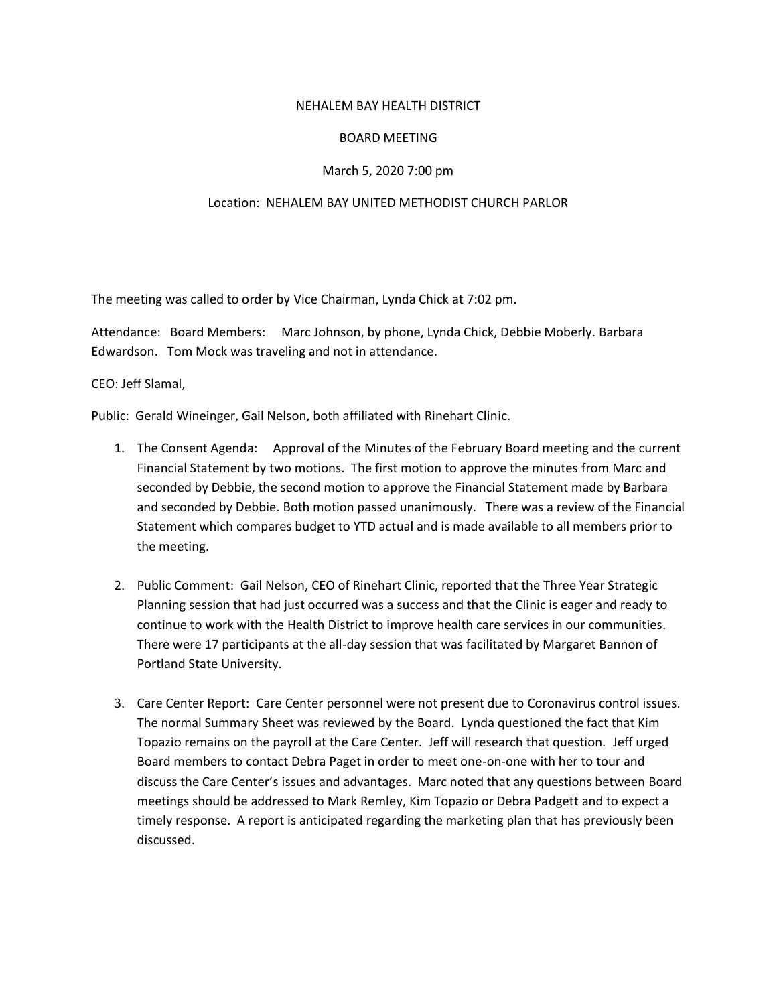## NEHALEM BAY HEALTH DISTRICT

## BOARD MEETING

## March 5, 2020 7:00 pm

## Location: NEHALEM BAY UNITED METHODIST CHURCH PARLOR

The meeting was called to order by Vice Chairman, Lynda Chick at 7:02 pm.

Attendance: Board Members: Marc Johnson, by phone, Lynda Chick, Debbie Moberly. Barbara Edwardson. Tom Mock was traveling and not in attendance.

CEO: Jeff Slamal,

Public: Gerald Wineinger, Gail Nelson, both affiliated with Rinehart Clinic.

- 1. The Consent Agenda: Approval of the Minutes of the February Board meeting and the current Financial Statement by two motions. The first motion to approve the minutes from Marc and seconded by Debbie, the second motion to approve the Financial Statement made by Barbara and seconded by Debbie. Both motion passed unanimously. There was a review of the Financial Statement which compares budget to YTD actual and is made available to all members prior to the meeting.
- 2. Public Comment: Gail Nelson, CEO of Rinehart Clinic, reported that the Three Year Strategic Planning session that had just occurred was a success and that the Clinic is eager and ready to continue to work with the Health District to improve health care services in our communities. There were 17 participants at the all-day session that was facilitated by Margaret Bannon of Portland State University.
- 3. Care Center Report: Care Center personnel were not present due to Coronavirus control issues. The normal Summary Sheet was reviewed by the Board. Lynda questioned the fact that Kim Topazio remains on the payroll at the Care Center. Jeff will research that question. Jeff urged Board members to contact Debra Paget in order to meet one-on-one with her to tour and discuss the Care Center's issues and advantages. Marc noted that any questions between Board meetings should be addressed to Mark Remley, Kim Topazio or Debra Padgett and to expect a timely response. A report is anticipated regarding the marketing plan that has previously been discussed.